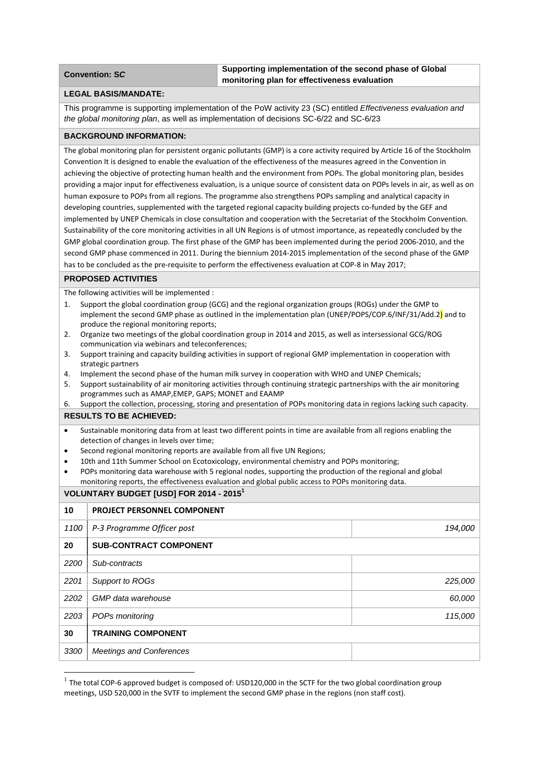## **Convention: SC Supporting implementation of the second phase of Global monitoring plan for effectiveness evaluation**

## **LEGAL BASIS/MANDATE:**

This programme is supporting implementation of the PoW activity 23 (SC) entitled *Effectiveness evaluation and the global monitoring plan*, as well as implementation of decisions SC-6/22 and SC-6/23

#### **BACKGROUND INFORMATION:**

The global monitoring plan for persistent organic pollutants (GMP) is a core activity required by Article 16 of the Stockholm Convention It is designed to enable the evaluation of the effectiveness of the measures agreed in the Convention in achieving the objective of protecting human health and the environment from POPs. The global monitoring plan, besides providing a major input for effectiveness evaluation, is a unique source of consistent data on POPs levels in air, as well as on human exposure to POPs from all regions. The programme also strengthens POPs sampling and analytical capacity in developing countries, supplemented with the targeted regional capacity building projects co-funded by the GEF and implemented by UNEP Chemicals in close consultation and cooperation with the Secretariat of the Stockholm Convention. Sustainability of the core monitoring activities in all UN Regions is of utmost importance, as repeatedly concluded by the GMP global coordination group. The first phase of the GMP has been implemented during the period 2006‐2010, and the second GMP phase commenced in 2011. During the biennium 2014‐2015 implementation of the second phase of the GMP has to be concluded as the pre-requisite to perform the effectiveness evaluation at COP-8 in May 2017;

#### **PROPOSED ACTIVITIES**

The following activities will be implemented :

- 1. Support the global coordination group (GCG) and the regional organization groups (ROGs) under the GMP to implement the second GMP phase as outlined in the implementation plan (UNEP/POPS/COP.6/INF/31/Add.2) and to produce the regional monitoring reports;
- 2. Organize two meetings of the global coordination group in 2014 and 2015, as well as intersessional GCG/ROG communication via webinars and teleconferences;
- 3. Support training and capacity building activities in support of regional GMP implementation in cooperation with strategic partners
- 4. Implement the second phase of the human milk survey in cooperation with WHO and UNEP Chemicals;
- 5. Support sustainability of air monitoring activities through continuing strategic partnerships with the air monitoring programmes such as AMAP,EMEP, GAPS; MONET and EAAMP
- 6. Support the collection, processing, storing and presentation of POPs monitoring data in regions lacking such capacity.

## **RESULTS TO BE ACHIEVED:**

- Sustainable monitoring data from at least two different points in time are available from all regions enabling the detection of changes in levels over time;
- Second regional monitoring reports are available from all five UN Regions;
- 10th and 11th Summer School on Ecotoxicology, environmental chemistry and POPs monitoring;
- POPs monitoring data warehouse with 5 regional nodes, supporting the production of the regional and global monitoring reports, the effectiveness evaluation and global public access to POPs monitoring data.

# **VOLUNTARY BUDGET [USD] FOR 2014 - 2015<sup>1</sup>**

| 10   | PROJECT PERSONNEL COMPONENT     |         |  |
|------|---------------------------------|---------|--|
| 1100 | P-3 Programme Officer post      | 194,000 |  |
| 20   | <b>SUB-CONTRACT COMPONENT</b>   |         |  |
| 2200 | Sub-contracts                   |         |  |
| 2201 | Support to ROGs                 | 225,000 |  |
| 2202 | GMP data warehouse              | 60,000  |  |
| 2203 | POPs monitoring                 | 115,000 |  |
| 30   | <b>TRAINING COMPONENT</b>       |         |  |
| 3300 | <b>Meetings and Conferences</b> |         |  |

 $1$  The total COP-6 approved budget is composed of: USD120,000 in the SCTF for the two global coordination group meetings, USD 520,000 in the SVTF to implement the second GMP phase in the regions (non staff cost).